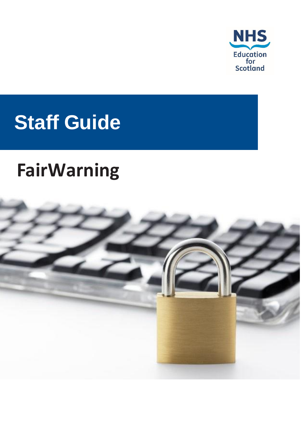

# **Staff Guide**

## **FairWarning**

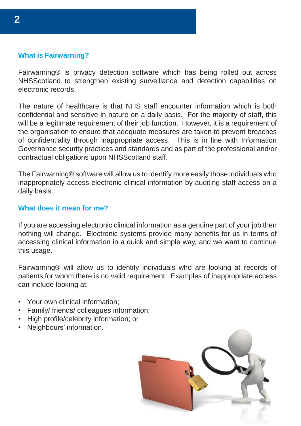### **What is Fairwarning?**

Fairwarning® is privacy detection software which has being rolled out across NHSScotland to strengthen existing surveillance and detection capabilities on electronic records.

The nature of healthcare is that NHS staff encounter information which is both confidential and sensitive in nature on a daily basis. For the majority of staff, this will be a legitimate requirement of their job function. However, it is a requirement of the organisation to ensure that adequate measures are taken to prevent breaches of confidentiality through inappropriate access. This is in line with Information Governance security practices and standards and as part of the professional and/or contractual obligations upon NHSScotland staff.

The Fairwarning® software will allow us to identify more easily those individuals who inappropriately access electronic clinical information by auditing staff access on a daily basis.

#### **What does it mean for me?**

If you are accessing electronic clinical information as a genuine part of your job then nothing will change. Electronic systems provide many benefits for us in terms of accessing clinical information in a quick and simple way, and we want to continue this usage.

Fairwarning® will allow us to identify individuals who are looking at records of patients for whom there is no valid requirement. Examples of inappropriate access can include looking at:

- Your own clinical information;
- Family/ friends/ colleagues information;
- High profile/celebrity information; or
- Neighbours' information.